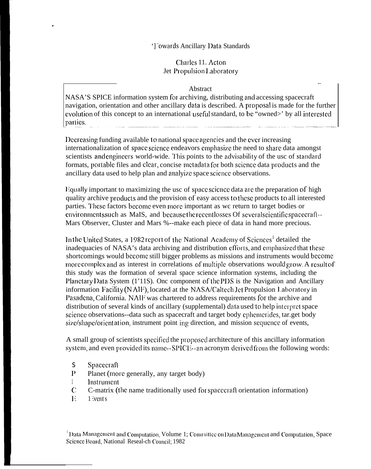## '] 'owards Ancillary Data Standards

## Charles 11, Acton Jet Propulsion Laboratory

## Abstract

NASA'S SPICE information system for archiving, distributing and accessing spacecraft navigation, orientation and other ancillary data is described. A proposal is made for the further evolution of this concept to an international useful standard, to be "owned>' by all interested parties.

Decreasing funding available to national space agencies and the ever increasing internationalization of space science endeavors emphasize the need to share data amongst scientists and engineers world-wide. This points to the advisability of the usc of standard formats, portable files and clear, concise metadata for both science data products and the ancillary data used to help plan and analyize space science observations.

Equally important to maximizing the usc of space science data are the preparation of high quality archive products and the provision of easy access to these products to all interested parties. These factors become even more important as we return to target bodies or environments such as MaIS, and because the recentlosses Of severals cientifics pacecraft-Mars Observer, Cluster and Mars %--make each piece of data in hand more precious.

In the United States, a 1982 report of the National Academy of Sciences<sup>1</sup> detailed the inadequacies of NASA's data archiving and distribution efforts, and emphasized that these shortcomings would become still bigger problems as missions and instruments would become more complex and as interest in correlations of multiple observations would grow. A result of this study was the formation of several space science information systems, including the Planetary Data System (1'11S). One component of the PDS is the Navigation and Ancillary information Facility (NAIF), located at the NASA/Caltech Jet Propulsion Laboratory in Pasadena, California. NAIF was chartered to address requirements for the archive and distribution of several kinds of ancillary (supplemental) data used to help interpret space science observations--data such as spacecraft and target body ephemerides, tar.get body size/shape/orientation, instrument point ing direction, and mission sequence of events,

A small group of scientists specified the proposed architecture of this ancillary information system, and even provided its name--SPICE--an acronym derived from the following words:

- $\mathsf{S}$ Spacecraft
- $\mathbf{p}$ Planet (more generally, any target body)
- $\mathbf{1}$ Instrument
- $\mathbf C$ C-matrix (the name traditionally used for spacecraft orientation information)
- $\mathbf{E}$ 1 ivent s

 $^1$ Data Management and Computation, Volume 1; Committee on Data Management and Computation, Space Science Board, National Reseal-ch Council; 1982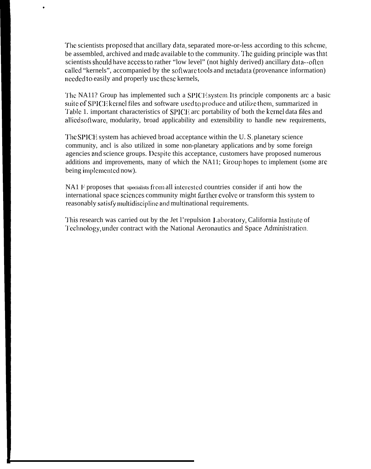The scientists proposed that ancillary data, separated more-or-less according to this scheme, be assembled, archived and made available to the community. The guiding principle was that scientists should have access to rather "low level" (not highly derived) ancillary data--oflcn called "kernels", accompanied by the soflware tools and mctadata (provenance information) needed 10 easily and properly usc these kernels,

,

The NA11? Group has implemented such a SPICE system. Its principle components arc a basic suite of SPICE kernel files and software used to produce and utilize them, summarized in Table 1. important characteristics of SPICE arc portability of both the kernel data files and allied software, modularity, broad applicability and extensibility to handle new requirements,

The SPICE system has achieved broad acceptance within the U.S. planetary science community, ancl is also utilized in some non-planetary applications and by some foreign agencies and science groups. Despite this acceptance, customers have proposed numerous additions and improvements, many of which the NA11; Group hopes to implement (some arc being implcmcntcd now).

 $NA1$   $F$  proposes that specialists from all interested countries consider if anti how the international space sciences community might further evolve or transform this system to reasonably satisfy multidiscipline and multinational requirements.

This research was carried out by the Jet l'repulsion Laboratory, California Institute of Technology, under contract with the National Aeronautics and Space Administration.